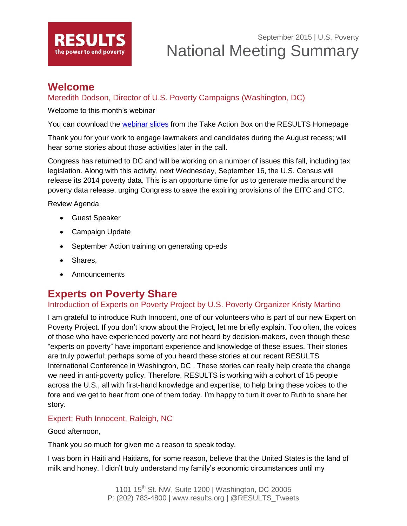

### **Welcome**

### Meredith Dodson, Director of U.S. Poverty Campaigns (Washington, DC)

Welcome to this month's webinar

You can download the [webinar slides](http://www.results.org/uploads/files/2015-09_RESULTS_U_S_Poverty_National_Webinar_Slides.pdf) from the Take Action Box on the RESULTS Homepage

Thank you for your work to engage lawmakers and candidates during the August recess; will hear some stories about those activities later in the call.

Congress has returned to DC and will be working on a number of issues this fall, including tax legislation. Along with this activity, next Wednesday, September 16, the U.S. Census will release its 2014 poverty data. This is an opportune time for us to generate media around the poverty data release, urging Congress to save the expiring provisions of the EITC and CTC.

Review Agenda

- Guest Speaker
- Campaign Update
- September Action training on generating op-eds
- Shares,
- Announcements

## **Experts on Poverty Share**

### Introduction of Experts on Poverty Project by U.S. Poverty Organizer Kristy Martino

I am grateful to introduce Ruth Innocent, one of our volunteers who is part of our new Expert on Poverty Project. If you don't know about the Project, let me briefly explain. Too often, the voices of those who have experienced poverty are not heard by decision-makers, even though these "experts on poverty" have important experience and knowledge of these issues. Their stories are truly powerful; perhaps some of you heard these stories at our recent RESULTS International Conference in Washington, DC . These stories can really help create the change we need in anti-poverty policy. Therefore, RESULTS is working with a cohort of 15 people across the U.S., all with first-hand knowledge and expertise, to help bring these voices to the fore and we get to hear from one of them today. I'm happy to turn it over to Ruth to share her story.

### Expert: Ruth Innocent, Raleigh, NC

#### Good afternoon,

Thank you so much for given me a reason to speak today.

I was born in Haiti and Haitians, for some reason, believe that the United States is the land of milk and honey. I didn't truly understand my family's economic circumstances until my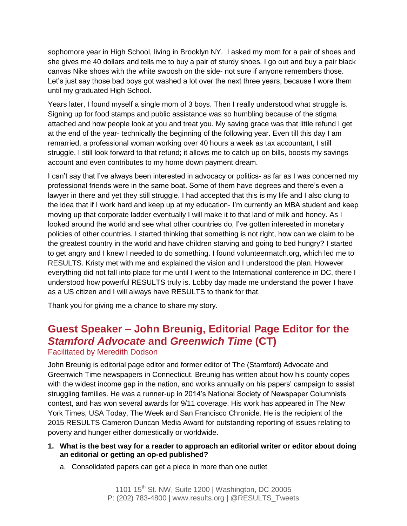sophomore year in High School, living in Brooklyn NY. I asked my mom for a pair of shoes and she gives me 40 dollars and tells me to buy a pair of sturdy shoes. I go out and buy a pair black canvas Nike shoes with the white swoosh on the side- not sure if anyone remembers those. Let's just say those bad boys got washed a lot over the next three years, because I wore them until my graduated High School.

Years later, I found myself a single mom of 3 boys. Then I really understood what struggle is. Signing up for food stamps and public assistance was so humbling because of the stigma attached and how people look at you and treat you. My saving grace was that little refund I get at the end of the year- technically the beginning of the following year. Even till this day I am remarried, a professional woman working over 40 hours a week as tax accountant, I still struggle. I still look forward to that refund; it allows me to catch up on bills, boosts my savings account and even contributes to my home down payment dream.

I can't say that I've always been interested in advocacy or politics- as far as I was concerned my professional friends were in the same boat. Some of them have degrees and there's even a lawyer in there and yet they still struggle. I had accepted that this is my life and I also clung to the idea that if I work hard and keep up at my education- I'm currently an MBA student and keep moving up that corporate ladder eventually I will make it to that land of milk and honey. As I looked around the world and see what other countries do, I've gotten interested in monetary policies of other countries. I started thinking that something is not right, how can we claim to be the greatest country in the world and have children starving and going to bed hungry? I started to get angry and I knew I needed to do something. I found volunteermatch.org, which led me to RESULTS. Kristy met with me and explained the vision and I understood the plan. However everything did not fall into place for me until I went to the International conference in DC, there I understood how powerful RESULTS truly is. Lobby day made me understand the power I have as a US citizen and I will always have RESULTS to thank for that.

Thank you for giving me a chance to share my story.

# **Guest Speaker – John Breunig, Editorial Page Editor for the**  *Stamford Advocate* **and** *Greenwich Time* **(CT)**

#### Facilitated by Meredith Dodson

John Breunig is editorial page editor and former editor of The (Stamford) Advocate and Greenwich Time newspapers in Connecticut. Breunig has written about how his county copes with the widest income gap in the nation, and works annually on his papers' campaign to assist struggling families. He was a runner-up in 2014's National Society of Newspaper Columnists contest, and has won several awards for 9/11 coverage. His work has appeared in The New York Times, USA Today, The Week and San Francisco Chronicle. He is the recipient of the 2015 RESULTS Cameron Duncan Media Award for outstanding reporting of issues relating to poverty and hunger either domestically or worldwide.

- **1. What is the best way for a reader to approach an editorial writer or editor about doing an editorial or getting an op-ed published?**
	- a. Consolidated papers can get a piece in more than one outlet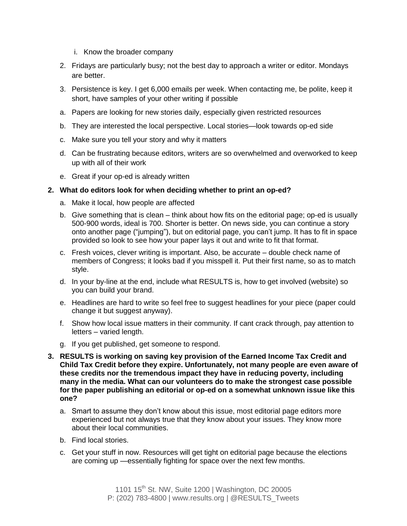- i. Know the broader company
- 2. Fridays are particularly busy; not the best day to approach a writer or editor. Mondays are better.
- 3. Persistence is key. I get 6,000 emails per week. When contacting me, be polite, keep it short, have samples of your other writing if possible
- a. Papers are looking for new stories daily, especially given restricted resources
- b. They are interested the local perspective. Local stories—look towards op-ed side
- c. Make sure you tell your story and why it matters
- d. Can be frustrating because editors, writers are so overwhelmed and overworked to keep up with all of their work
- e. Great if your op-ed is already written

#### **2. What do editors look for when deciding whether to print an op-ed?**

- a. Make it local, how people are affected
- b. Give something that is clean think about how fits on the editorial page; op-ed is usually 500-900 words, ideal is 700. Shorter is better. On news side, you can continue a story onto another page ("jumping"), but on editorial page, you can't jump. It has to fit in space provided so look to see how your paper lays it out and write to fit that format.
- c. Fresh voices, clever writing is important. Also, be accurate double check name of members of Congress; it looks bad if you misspell it. Put their first name, so as to match style.
- d. In your by-line at the end, include what RESULTS is, how to get involved (website) so you can build your brand.
- e. Headlines are hard to write so feel free to suggest headlines for your piece (paper could change it but suggest anyway).
- f. Show how local issue matters in their community. If cant crack through, pay attention to letters – varied length.
- g. If you get published, get someone to respond.
- **3. RESULTS is working on saving key provision of the Earned Income Tax Credit and Child Tax Credit before they expire. Unfortunately, not many people are even aware of these credits nor the tremendous impact they have in reducing poverty, including many in the media. What can our volunteers do to make the strongest case possible for the paper publishing an editorial or op-ed on a somewhat unknown issue like this one?** 
	- a. Smart to assume they don't know about this issue, most editorial page editors more experienced but not always true that they know about your issues. They know more about their local communities.
	- b. Find local stories.
	- c. Get your stuff in now. Resources will get tight on editorial page because the elections are coming up —essentially fighting for space over the next few months.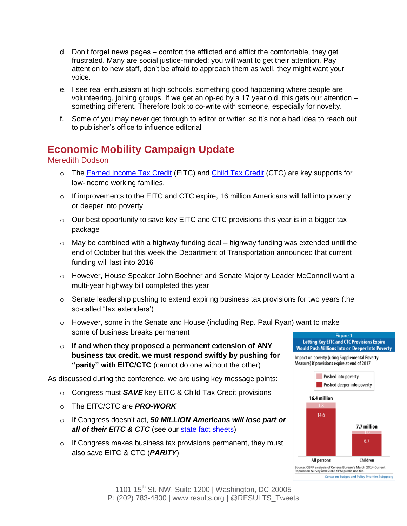- d. Don't forget news pages comfort the afflicted and afflict the comfortable, they get frustrated. Many are social justice-minded; you will want to get their attention. Pay attention to new staff, don't be afraid to approach them as well, they might want your voice.
- e. I see real enthusiasm at high schools, something good happening where people are volunteering, joining groups. If we get an op-ed by a 17 year old, this gets our attention – something different. Therefore look to co-write with someone, especially for novelty.
- f. Some of you may never get through to editor or writer, so it's not a bad idea to reach out to publisher's office to influence editorial

# **Economic Mobility Campaign Update**

#### Meredith Dodson

- o The [Earned Income Tax Credit](http://www.results.org/issues/earned_income_tax_credit/) (EITC) and [Child Tax Credit](http://www.results.org/issues/child_tax_credit/) (CTC) are key supports for low-income working families.
- $\circ$  If improvements to the EITC and CTC expire, 16 million Americans will fall into poverty or deeper into poverty
- $\circ$  Our best opportunity to save key EITC and CTC provisions this year is in a bigger tax package
- $\circ$  May be combined with a highway funding deal highway funding was extended until the end of October but this week the Department of Transportation announced that current funding will last into 2016
- o However, House Speaker John Boehner and Senate Majority Leader McConnell want a multi-year highway bill completed this year
- o Senate leadership pushing to extend expiring business tax provisions for two years (the so-called "tax extenders')
- $\circ$  However, some in the Senate and House (including Rep. Paul Ryan) want to make some of business breaks permanent
- o **If and when they proposed a permanent extension of ANY business tax credit, we must respond swiftly by pushing for "parity" with EITC/CTC** (cannot do one without the other)

As discussed during the conference, we are using key message points:

- o Congress must *SAVE* key EITC & Child Tax Credit provisions
- o The EITC/CTC are *PRO-WORK*
- o If Congress doesn't act, *50 MILLION Americans will lose part or all of their EITC & CTC* (see our [state fact sheets\)](http://www.results.org/uploads/files/State_Fact_Sheets_7.6.15.docx)
- $\circ$  If Congress makes business tax provisions permanent, they must also save EITC & CTC (*PARITY*)



1101 15<sup>th</sup> St. NW, Suite 1200 | Washington, DC 20005 P: (202) 783-4800 | www.results.org | @RESULTS\_Tweets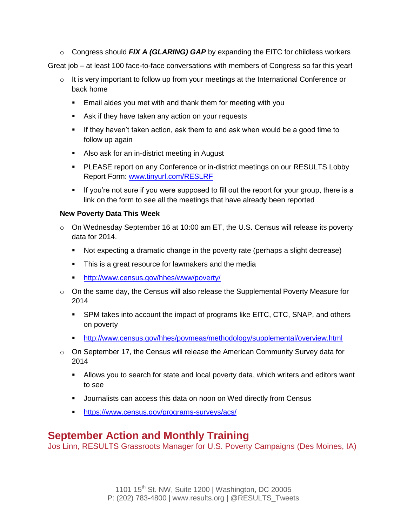o Congress should *FIX A (GLARING) GAP* by expanding the EITC for childless workers

Great job – at least 100 face-to-face conversations with members of Congress so far this year!

- $\circ$  It is very important to follow up from your meetings at the International Conference or back home
	- **Email aides you met with and thank them for meeting with you**
	- **Ask if they have taken any action on your requests**
	- **If they haven't taken action, ask them to and ask when would be a good time to** follow up again
	- Also ask for an in-district meeting in August
	- **PLEASE report on any Conference or in-district meetings on our RESULTS Lobby** Report Form: [www.tinyurl.com/RESLRF](http://www.tinyurl.com/RESLRF)
	- If you're not sure if you were supposed to fill out the report for your group, there is a link on the form to see all the meetings that have already been reported

#### **New Poverty Data This Week**

- $\circ$  On Wednesday September 16 at 10:00 am ET, the U.S. Census will release its poverty data for 2014.
	- Not expecting a dramatic change in the poverty rate (perhaps a slight decrease)
	- This is a great resource for lawmakers and the media
	- <http://www.census.gov/hhes/www/poverty/>
- $\circ$  On the same day, the Census will also release the Supplemental Poverty Measure for 2014
	- SPM takes into account the impact of programs like EITC, CTC, SNAP, and others on poverty
	- <http://www.census.gov/hhes/povmeas/methodology/supplemental/overview.html>
- $\circ$  On September 17, the Census will release the American Community Survey data for 2014
	- Allows you to search for state and local poverty data, which writers and editors want to see
	- Journalists can access this data on noon on Wed directly from Census
	- <https://www.census.gov/programs-surveys/acs/>

## **September Action and Monthly Training**

Jos Linn, RESULTS Grassroots Manager for U.S. Poverty Campaigns (Des Moines, IA)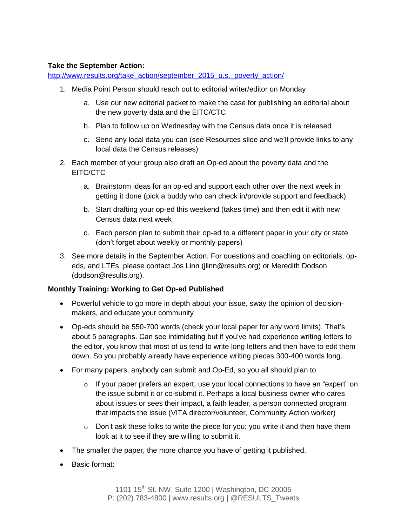#### **Take the September Action:**

[http://www.results.org/take\\_action/september\\_2015\\_u.s.\\_poverty\\_action/](http://www.results.org/take_action/september_2015_u.s._poverty_action/)

- 1. Media Point Person should reach out to editorial writer/editor on Monday
	- a. Use our new editorial packet to make the case for publishing an editorial about the new poverty data and the EITC/CTC
	- b. Plan to follow up on Wednesday with the Census data once it is released
	- c. Send any local data you can (see Resources slide and we'll provide links to any local data the Census releases)
- 2. Each member of your group also draft an Op-ed about the poverty data and the EITC/CTC
	- a. Brainstorm ideas for an op-ed and support each other over the next week in getting it done (pick a buddy who can check in/provide support and feedback)
	- b. Start drafting your op-ed this weekend (takes time) and then edit it with new Census data next week
	- c. Each person plan to submit their op-ed to a different paper in your city or state (don't forget about weekly or monthly papers)
- 3. See more details in the September Action. For questions and coaching on editorials, opeds, and LTEs, please contact Jos Linn (jlinn@results.org) or Meredith Dodson (dodson@results.org).

#### **Monthly Training: Working to Get Op-ed Published**

- Powerful vehicle to go more in depth about your issue, sway the opinion of decisionmakers, and educate your community
- Op-eds should be 550-700 words (check your local paper for any word limits). That's about 5 paragraphs. Can see intimidating but if you've had experience writing letters to the editor, you know that most of us tend to write long letters and then have to edit them down. So you probably already have experience writing pieces 300-400 words long.
- For many papers, anybody can submit and Op-Ed, so you all should plan to
	- $\circ$  If your paper prefers an expert, use your local connections to have an "expert" on the issue submit it or co-submit it. Perhaps a local business owner who cares about issues or sees their impact, a faith leader, a person connected program that impacts the issue (VITA director/volunteer, Community Action worker)
	- $\circ$  Don't ask these folks to write the piece for you; you write it and then have them look at it to see if they are willing to submit it.
- The smaller the paper, the more chance you have of getting it published.
- Basic format: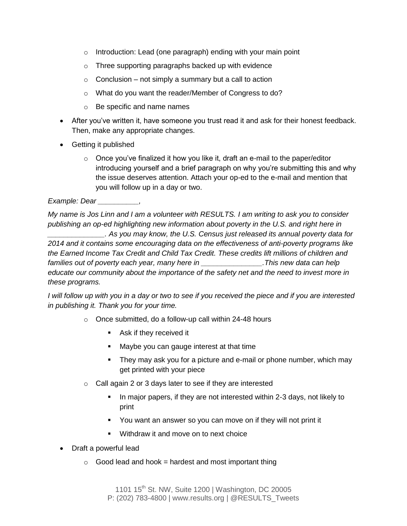- o Introduction: Lead (one paragraph) ending with your main point
- o Three supporting paragraphs backed up with evidence
- $\circ$  Conclusion not simply a summary but a call to action
- o What do you want the reader/Member of Congress to do?
- o Be specific and name names
- After you've written it, have someone you trust read it and ask for their honest feedback. Then, make any appropriate changes.
- Getting it published
	- $\circ$  Once you've finalized it how you like it, draft an e-mail to the paper/editor introducing yourself and a brief paragraph on why you're submitting this and why the issue deserves attention. Attach your op-ed to the e-mail and mention that you will follow up in a day or two.

*Example: Dear \_\_\_\_\_\_\_\_\_\_,*

*My name is Jos Linn and I am a volunteer with RESULTS. I am writing to ask you to consider publishing an op-ed highlighting new information about poverty in the U.S. and right here in \_\_\_\_\_\_\_\_\_\_\_\_\_\_. As you may know, the U.S. Census just released its annual poverty data for 2014 and it contains some encouraging data on the effectiveness of anti-poverty programs like the Earned Income Tax Credit and Child Tax Credit. These credits lift millions of children and families out of poverty each year, many here in \_\_\_\_\_\_\_\_\_\_\_\_\_\_\_.This new data can help educate our community about the importance of the safety net and the need to invest more in these programs.*

*I will follow up with you in a day or two to see if you received the piece and if you are interested in publishing it. Thank you for your time.*

- o Once submitted, do a follow-up call within 24-48 hours
	- **Ask if they received it**
	- Maybe you can gauge interest at that time
	- They may ask you for a picture and e-mail or phone number, which may get printed with your piece
- o Call again 2 or 3 days later to see if they are interested
	- In major papers, if they are not interested within 2-3 days, not likely to print
	- You want an answer so you can move on if they will not print it
	- **Withdraw it and move on to next choice**
- Draft a powerful lead
	- $\circ$  Good lead and hook = hardest and most important thing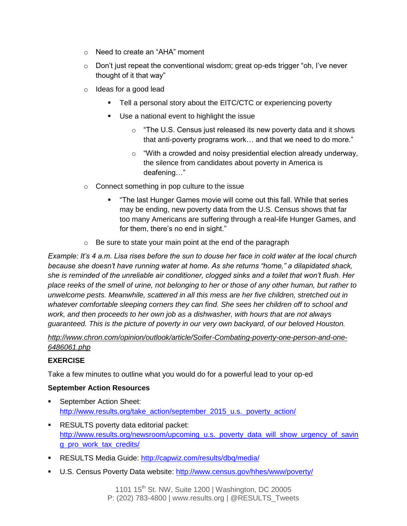- o Need to create an "AHA" moment
- o Don't just repeat the conventional wisdom; great op-eds trigger "oh, I've never thought of it that way"
- o Ideas for a good lead
	- Tell a personal story about the EITC/CTC or experiencing poverty
	- Use a national event to highlight the issue
		- $\circ$  "The U.S. Census just released its new poverty data and it shows that anti-poverty programs work… and that we need to do more."
		- $\circ$  "With a crowded and noisy presidential election already underway, the silence from candidates about poverty in America is deafening…"
- o Connect something in pop culture to the issue
	- "The last Hunger Games movie will come out this fall. While that series may be ending, new poverty data from the U.S. Census shows that far too many Americans are suffering through a real-life Hunger Games, and for them, there's no end in sight."
- $\circ$  Be sure to state your main point at the end of the paragraph

*Example: It's 4 a.m. Lisa rises before the sun to douse her face in cold water at the local church because she doesn't have running water at home. As she returns "home," a dilapidated shack, she is reminded of the unreliable air conditioner, clogged sinks and a toilet that won't flush. Her place reeks of the smell of urine, not belonging to her or those of any other human, but rather to unwelcome pests. Meanwhile, scattered in all this mess are her five children, stretched out in whatever comfortable sleeping corners they can find. She sees her children off to school and work, and then proceeds to her own job as a dishwasher, with hours that are not always guaranteed. This is the picture of poverty in our very own backyard, of our beloved Houston.*

*[http://www.chron.com/opinion/outlook/article/Soifer-Combating-poverty-one-person-and-one-](http://www.chron.com/opinion/outlook/article/Soifer-Combating-poverty-one-person-and-one-6486061.php)[6486061.php](http://www.chron.com/opinion/outlook/article/Soifer-Combating-poverty-one-person-and-one-6486061.php)*

#### **EXERCISE**

Take a few minutes to outline what you would do for a powerful lead to your op-ed

#### **September Action Resources**

- **September Action Sheet:** [http://www.results.org/take\\_action/september\\_2015\\_u.s.\\_poverty\\_action/](http://www.results.org/take_action/september_2015_u.s._poverty_action/)
- **RESULTS poverty data editorial packet:** [http://www.results.org/newsroom/upcoming\\_u.s.\\_poverty\\_data\\_will\\_show\\_urgency\\_of\\_savin](http://www.results.org/newsroom/upcoming_u.s._poverty_data_will_show_urgency_of_saving_pro_work_tax_credits/) [g\\_pro\\_work\\_tax\\_credits/](http://www.results.org/newsroom/upcoming_u.s._poverty_data_will_show_urgency_of_saving_pro_work_tax_credits/)
- **RESULTS Media Guide:<http://capwiz.com/results/dbq/media/>**
- U.S. Census Poverty Data website:<http://www.census.gov/hhes/www/poverty/>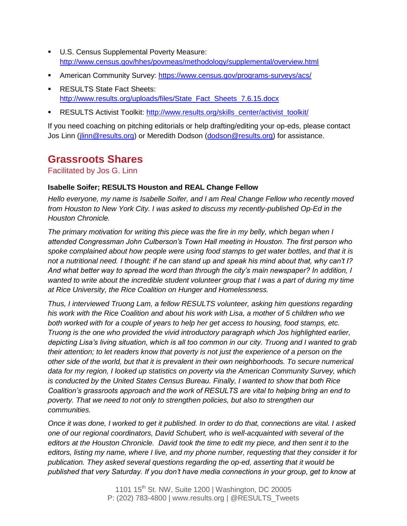- **U.S. Census Supplemental Poverty Measure:** <http://www.census.gov/hhes/povmeas/methodology/supplemental/overview.html>
- **American Community Survey:<https://www.census.gov/programs-surveys/acs/>**
- **RESULTS State Fact Sheets:** [http://www.results.org/uploads/files/State\\_Fact\\_Sheets\\_7.6.15.docx](http://www.results.org/uploads/files/State_Fact_Sheets_7.6.15.docx)
- RESULTS Activist Toolkit: [http://www.results.org/skills\\_center/activist\\_toolkit/](http://www.results.org/skills_center/activist_toolkit/)

If you need coaching on pitching editorials or help drafting/editing your op-eds, please contact Jos Linn [\(jlinn@results.org\)](mailto:jlinn@results.org) or Meredith Dodson [\(dodson@results.org\)](mailto:dodson@results.org) for assistance.

## **Grassroots Shares**

Facilitated by Jos G. Linn

#### **Isabelle Soifer; RESULTS Houston and REAL Change Fellow**

*Hello everyone, my name is Isabelle Soifer, and I am Real Change Fellow who recently moved from Houston to New York City. I was asked to discuss my recently-published Op-Ed in the Houston Chronicle.*

*The primary motivation for writing this piece was the fire in my belly, which began when I attended Congressman John Culberson's Town Hall meeting in Houston. The first person who spoke complained about how people were using food stamps to get water bottles, and that it is not a nutritional need. I thought: if he can stand up and speak his mind about that, why can't I? And what better way to spread the word than through the city's main newspaper? In addition, I wanted to write about the incredible student volunteer group that I was a part of during my time at Rice University, the Rice Coalition on Hunger and Homelessness.* 

*Thus, I interviewed Truong Lam, a fellow RESULTS volunteer, asking him questions regarding his work with the Rice Coalition and about his work with Lisa, a mother of 5 children who we both worked with for a couple of years to help her get access to housing, food stamps, etc. Truong is the one who provided the vivid introductory paragraph which Jos highlighted earlier, depicting Lisa's living situation, which is all too common in our city. Truong and I wanted to grab their attention; to let readers know that poverty is not just the experience of a person on the other side of the world, but that it is prevalent in their own neighborhoods. To secure numerical data for my region, I looked up statistics on poverty via the American Community Survey, which is conducted by the United States Census Bureau. Finally, I wanted to show that both Rice Coalition's grassroots approach and the work of RESULTS are vital to helping bring an end to poverty. That we need to not only to strengthen policies, but also to strengthen our communities.* 

*Once it was done, I worked to get it published. In order to do that, connections are vital. I asked one of our regional coordinators, David Schubert, who is well-acquainted with several of the editors at the Houston Chronicle. David took the time to edit my piece, and then sent it to the editors, listing my name, where I live, and my phone number, requesting that they consider it for publication. They asked several questions regarding the op-ed, asserting that it would be published that very Saturday. If you don't have media connections in your group, get to know at*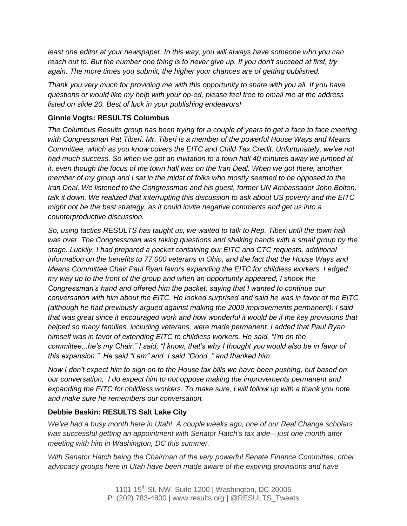*least one editor at your newspaper. In this way, you will always have someone who you can reach out to. But the number one thing is to never give up. If you don't succeed at first, try again. The more times you submit, the higher your chances are of getting published.*

*Thank you very much for providing me with this opportunity to share with you all. If you have questions or would like my help with your op-ed, please feel free to email me at the address listed on slide 20. Best of luck in your publishing endeavors!*

#### **Ginnie Vogts: RESULTS Columbus**

*The Columbus Results group has been trying for a couple of years to get a face to face meeting with Congressman Pat Tiberi. Mr. Tiberi is a member of the powerful House Ways and Means Committee, which as you know covers the EITC and Child Tax Credit. Unfortunately, we've not had much success. So when we got an invitation to a town hall 40 minutes away we jumped at it, even though the focus of the town hall was on the Iran Deal. When we got there, another member of my group and I sat in the midst of folks who mostly seemed to be opposed to the Iran Deal. We listened to the Congressman and his guest, former UN Ambassador John Bolton, talk it down. We realized that interrupting this discussion to ask about US poverty and the EITC might not be the best strategy, as it could invite negative comments and get us into a counterproductive discussion.* 

*So, using tactics RESULTS has taught us, we waited to talk to Rep. Tiberi until the town hall was over. The Congressman was taking questions and shaking hands with a small group by the stage. Luckily, I had prepared a packet containing our EITC and CTC requests, additional information on the benefits to 77,000 veterans in Ohio, and the fact that the House Ways and Means Committee Chair Paul Ryan favors expanding the EITC for childless workers. I edged my way up to the front of the group and when an opportunity appeared, I shook the Congressman's hand and offered him the packet, saying that I wanted to continue our conversation with him about the EITC. He looked surprised and said he was in favor of the EITC (although he had previously argued against making the 2009 improvements permanent). I said that was great since it encouraged work and how wonderful it would be if the key provisions that helped so many families, including veterans, were made permanent. I added that Paul Ryan himself was in favor of extending EITC to childless workers. He said, "I'm on the committee...he's my Chair." I said, "I know, that's why I thought you would also be in favor of this expansion." He said "I am" and I said "Good.," and thanked him.*

*Now I don't expect him to sign on to the House tax bills we have been pushing, but based on our conversation, I do expect him to not oppose making the improvements permanent and expanding the EITC for childless workers. To make sure, I will follow up with a thank you note and make sure he remembers our conversation.*

#### **Debbie Baskin: RESULTS Salt Lake City**

*We've had a busy month here in Utah! A couple weeks ago, one of our Real Change scholars was successful getting an appointment with Senator Hatch's tax aide—just one month after meeting with him in Washington, DC this summer.*

*With Senator Hatch being the Chairman of the very powerful Senate Finance Committee, other advocacy groups here in Utah have been made aware of the expiring provisions and have*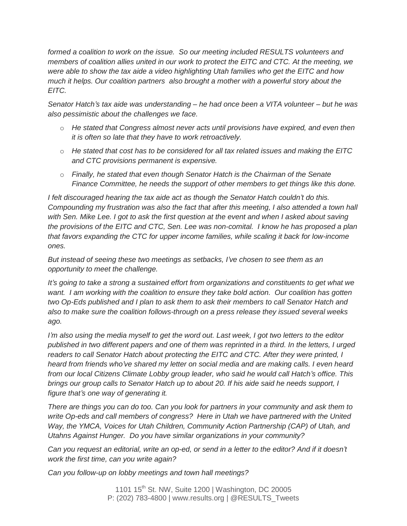*formed a coalition to work on the issue. So our meeting included RESULTS volunteers and members of coalition allies united in our work to protect the EITC and CTC. At the meeting, we were able to show the tax aide a video highlighting Utah families who get the EITC and how much it helps. Our coalition partners also brought a mother with a powerful story about the EITC.*

*Senator Hatch's tax aide was understanding – he had once been a VITA volunteer – but he was also pessimistic about the challenges we face.*

- o *He stated that Congress almost never acts until provisions have expired, and even then it is often so late that they have to work retroactively.*
- o *He stated that cost has to be considered for all tax related issues and making the EITC and CTC provisions permanent is expensive.*
- o *Finally, he stated that even though Senator Hatch is the Chairman of the Senate Finance Committee, he needs the support of other members to get things like this done.*

*I felt discouraged hearing the tax aide act as though the Senator Hatch couldn't do this. Compounding my frustration was also the fact that after this meeting, I also attended a town hall* with Sen. Mike Lee. I got to ask the first question at the event and when I asked about saving *the provisions of the EITC and CTC, Sen. Lee was non-comital. I know he has proposed a plan that favors expanding the CTC for upper income families, while scaling it back for low-income ones.*

*But instead of seeing these two meetings as setbacks, I've chosen to see them as an opportunity to meet the challenge.*

*It's going to take a strong a sustained effort from organizations and constituents to get what we want. I am working with the coalition to ensure they take bold action. Our coalition has gotten two Op-Eds published and I plan to ask them to ask their members to call Senator Hatch and also to make sure the coalition follows-through on a press release they issued several weeks ago.*

I'm also using the media myself to get the word out. Last week, I got two letters to the editor published in two different papers and one of them was reprinted in a third. In the letters, I urged *readers to call Senator Hatch about protecting the EITC and CTC. After they were printed, I heard from friends who've shared my letter on social media and are making calls. I even heard from our local Citizens Climate Lobby group leader, who said he would call Hatch's office. This* brings our group calls to Senator Hatch up to about 20. If his aide said he needs support, I *figure that's one way of generating it.*

There are things you can do too. Can you look for partners in your community and ask them to *write Op-eds and call members of congress? Here in Utah we have partnered with the United Way, the YMCA, Voices for Utah Children, Community Action Partnership (CAP) of Utah, and Utahns Against Hunger. Do you have similar organizations in your community?*

Can you request an editorial, write an op-ed, or send in a letter to the editor? And if it doesn't *work the first time, can you write again?*

*Can you follow-up on lobby meetings and town hall meetings?*